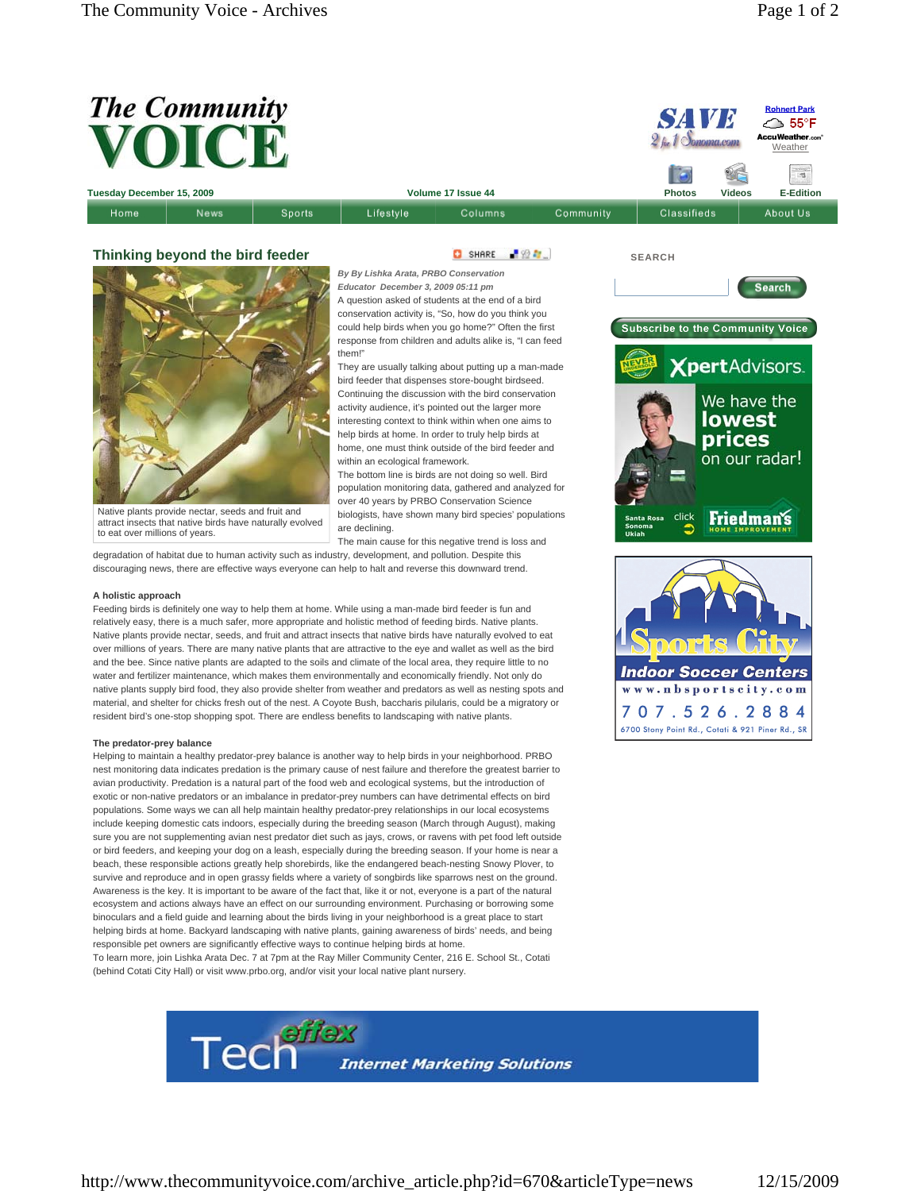

G SHARE FIGHT

They are usually talking about putting up a man-made bird feeder that dispenses store-bought birdseed. Continuing the discussion with the bird conservation activity audience, it's pointed out the larger more interesting context to think within when one aims to help birds at home. In order to truly help birds at home, one must think outside of the bird feeder and

The bottom line is birds are not doing so well. Bird population monitoring data, gathered and analyzed for over 40 years by PRBO Conservation Science biologists, have shown many bird species' populations

*By By Lishka Arata, PRBO Conservation Educator December 3, 2009 05:11 pm* A question asked of students at the end of a bird conservation activity is, "So, how do you think you could help birds when you go home?" Often the first response from children and adults alike is, "I can feed

within an ecological framework.

## **Thinking beyond the bird feeder**



Native plants provide nectar, seeds and fruit and attract insects that native birds have naturally evolved to eat over millions of years.

The main cause for this negative trend is loss and degradation of habitat due to human activity such as industry, development, and pollution. Despite this discouraging news, there are effective ways everyone can help to halt and reverse this downward trend.

them!"

are declining.

## **A holistic approach**

Feeding birds is definitely one way to help them at home. While using a man-made bird feeder is fun and relatively easy, there is a much safer, more appropriate and holistic method of feeding birds. Native plants. Native plants provide nectar, seeds, and fruit and attract insects that native birds have naturally evolved to eat over millions of years. There are many native plants that are attractive to the eye and wallet as well as the bird and the bee. Since native plants are adapted to the soils and climate of the local area, they require little to no water and fertilizer maintenance, which makes them environmentally and economically friendly. Not only do native plants supply bird food, they also provide shelter from weather and predators as well as nesting spots and material, and shelter for chicks fresh out of the nest. A Coyote Bush, baccharis pilularis, could be a migratory or resident bird's one-stop shopping spot. There are endless benefits to landscaping with native plants.

## **The predator-prey balance**

Helping to maintain a healthy predator-prey balance is another way to help birds in your neighborhood. PRBO nest monitoring data indicates predation is the primary cause of nest failure and therefore the greatest barrier to avian productivity. Predation is a natural part of the food web and ecological systems, but the introduction of exotic or non-native predators or an imbalance in predator-prey numbers can have detrimental effects on bird populations. Some ways we can all help maintain healthy predator-prey relationships in our local ecosystems include keeping domestic cats indoors, especially during the breeding season (March through August), making sure you are not supplementing avian nest predator diet such as jays, crows, or ravens with pet food left outside or bird feeders, and keeping your dog on a leash, especially during the breeding season. If your home is near a beach, these responsible actions greatly help shorebirds, like the endangered beach-nesting Snowy Plover, to survive and reproduce and in open grassy fields where a variety of songbirds like sparrows nest on the ground. Awareness is the key. It is important to be aware of the fact that, like it or not, everyone is a part of the natural ecosystem and actions always have an effect on our surrounding environment. Purchasing or borrowing some binoculars and a field guide and learning about the birds living in your neighborhood is a great place to start helping birds at home. Backyard landscaping with native plants, gaining awareness of birds' needs, and being responsible pet owners are significantly effective ways to continue helping birds at home. To learn more, join Lishka Arata Dec. 7 at 7pm at the Ray Miller Community Center, 216 E. School St., Cotati

(behind Cotati City Hall) or visit www.prbo.org, and/or visit your local native plant nursery.



**SEARCH**



www.nbsportscity.com 707.526.2884 6700 Stony Point Rd., Cotati & 921 Piner Rd., SR

http://www.thecommunityvoice.com/archive\_article.php?id=670&articleType=news 12/15/2009